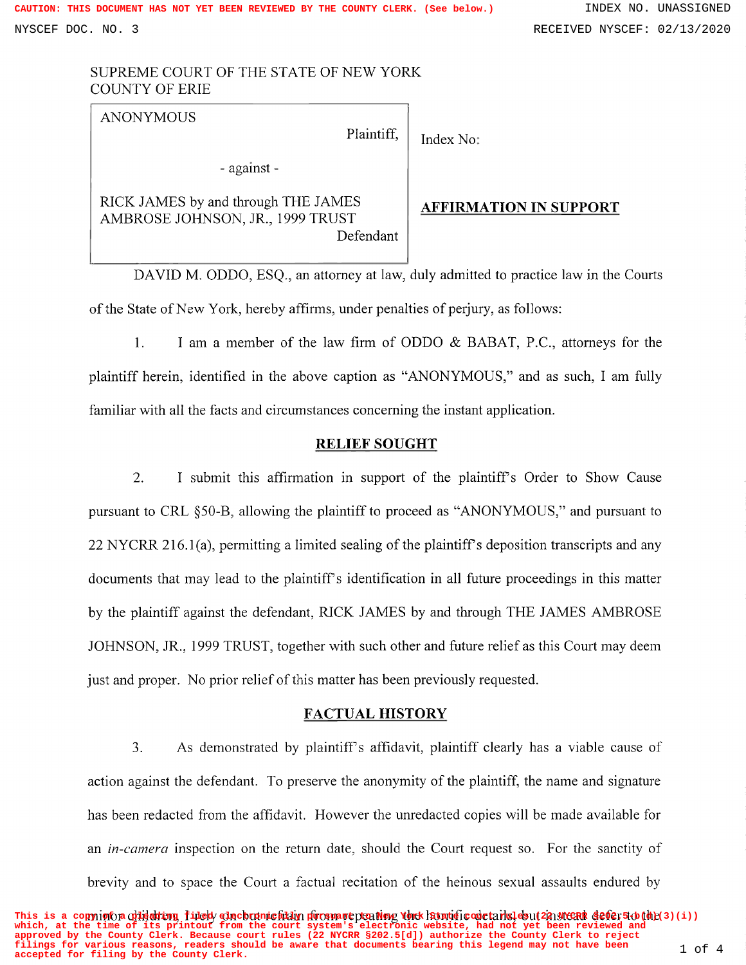# SUPREME COURT OF THE STATE OF NEW YORK COUNTY OF ERIE

| <b>ANONYMOUS</b><br>Plaintiff,                                                       | Index No:                     |
|--------------------------------------------------------------------------------------|-------------------------------|
| - against -                                                                          |                               |
| RICK JAMES by and through THE JAMES<br>AMBROSE JOHNSON, JR., 1999 TRUST<br>Defendant | <b>AFFIRMATION IN SUPPORT</b> |

DAVID M. ODDO, ESQ., an attorney at law, duly admitted to practice law in the Courts of the State of New York, hereby affirms, under penalties of perjury, as follows:

1. <sup>I</sup> am <sup>a</sup> member of the law firm of ODDO & BABAT, P.C., attorneys for the plaintiff herein, identified in the above caption as "ANONYMOUS," and as such, I am ful familiar with all the facts and circumstances concerning the instant application.

### RELIEF SOUGHT

2. I submit this affirmation in support of the plaintiff's Order to Show Cause pursuant to CRL §50-B, allowing the plaintiff to proceed as "ANONYMOUS," and pursuant to <sup>22</sup> NYCRR 216.1(a), permitting <sup>a</sup> limited sealing of the plaintiff's deposition transcripts and any documents that may lead to the plaintiff's identification in all future proceedings in this matter by the plaintiff against the defendant, RICK JAMES by and through THE JAMES AMBROSE JOHNSON, JR., 1999 TRUST, together with such other and future relief as this Court may deem just and proper. No prior relief of this matter has been previously requested.

## FACTUAL HISTORY

3. As demonstrated by plaintiff's affidavit, plaintiff clearly has a viable cause of action against the defendant. To preserve the anonymity of the plaintiff, the name and signature has been redacted from the affidavit. However the unredacted copies will be made available for an *in-camera* inspection on the return date, should the Court request so. For the sanctity of brevity and to space the Court a factual recitation of the heinous sexual assaults endured by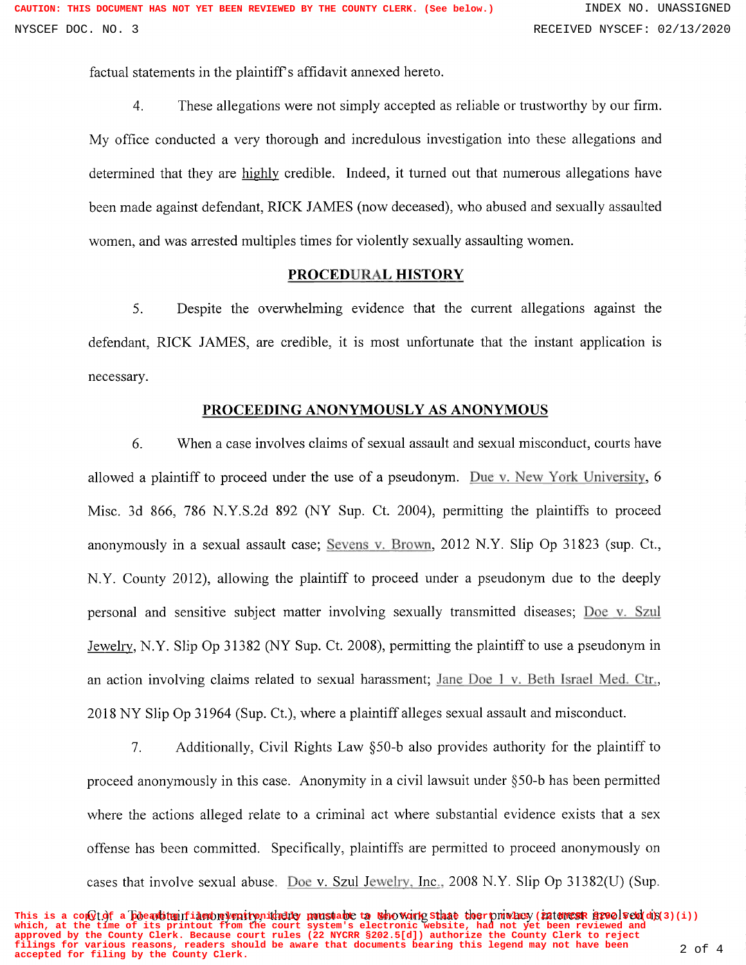factual statements in the plaintiff's affidavit annexed hereto.

4. These allegations were not simply accepted as reliable or trustworthy by our firm.

My office conducted <sup>a</sup> very thorough and incredulous investigation into these allegations and determined that they are highly credible. Indeed, it turned out that numerous allegations have been made against defendant, RICK JAMES (now deceased), who abused and sexually assaulted women, and was arrested multiples times for violently sexually assaulting women.

### PROCEDURAL HISTORY

5. Despite the overwhelming evidence that the current allegations against the defendant, RICK JAMES, are credible, it is most unfortunate that the instant application is necessary.

# PROCEEDING ANONYMOUSLY AS ANONYMOUS

6. When a case involves claims of sexual assault and sexual misconduct, courts have allowed a plaintiff to proceed under the use of a pseudonym. Due v. New York University, 6 Misc. 3d 866, 786 N.Y.S.2d 892 (NY Sup. Ct. 2004), permitting the plaintiffs to proceed anonymously in a sexual assault case; Sevens v. Brown, 2012 N.Y. Slip Op 31823 (sup. Ct., N.Y. County 2012), allowing the plaintiff to proceed under a pseudonym due to the deeply personal and sensitive subject matter involving sexually transmitted diseases; Doe v. Szul Jewelry, N.Y. Slip Op <sup>31382</sup> (NY Sup. Ct. 2008), permitting the plaintiff to use <sup>a</sup> pseudonym in an action involving claims related to sexual harassment; Jane Doe 1 v. Beth Israel Med. Ctr., <sup>2018</sup> NY Slip Op <sup>31964</sup> (Sup. Ct.), where <sup>a</sup> plaintiff alleges sexual assault and misconduct.

7. Additionally, Civil Rights Law §50-b also provides authority for the plaintiff to proceed anonymously in this case. Anonymity in a civil lawsuit under §50-b has been permitted where the actions alleged relate to a criminal act where substantial evidence exists that a sex offense has been committed. Specifically, plaintiffs are permitted to proceed anonymously on cases that involve sexual abuse. Doe v. Szul Jewelry. Inc.. 2008 N.Y. Slip Op 31382(U) (Sup.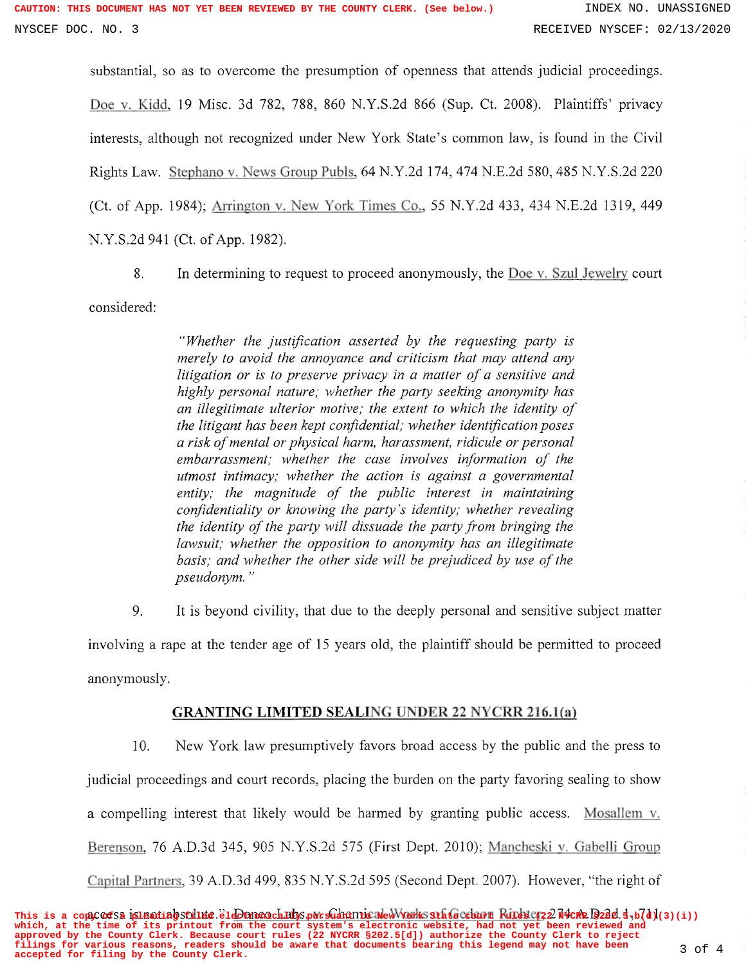substantial, so as to overcome the presumption of openness that attends judicial proceedings. Doe v. Kidd, 19 Misc. 3d 782, 788, 860 N.Y.S.2d 866 (Sup. Ct. 2008). Plaintiffs' priva interests, although not recognized under New York State's common law, is found in the Civil Rights Law. Stephano v. News Group Pubts, 64 N.Y.2d 174, 474 N.E.2d 580, 485 N.Y.S.2d 220 (Ct. of App. 1984); Arrington v. New York Times Co., 55 N.Y.2d 433, 434 N.E.2d 1319, 449 N.Y.S.2d 941 (Ct. of App. 1982).

8. In determining to request to proceed anonymously, the Doe v. Szul Jewelry court

considered:

"Whether the justification asserted by the requesting party is merely to avoid the annoyance and criticism that may attend any litigation or is to preserve privacy in a matter of a sensitive and highly personal nature; whether the party seeking anonymity has an illegitimate ulterior motive; the extent to which the identity of the litigant has been kept confidential; whether identification poses a risk of mental or physical harm, harassment, ridicule or personal embarrassment; whether the case involves information of the utmost intimacy; whether the action is against a governmental entity; the magnitude of the public interest in maintaining confidentiality or knowing the party's identity; whether revealing the identity of the party will dissuade the party from bringing the lawsuit; whether the opposition to anonymity has an illegitimate basis; and whether the other side will be prejudiced by use of the pseudonym. "

9. It is beyond civility, that due to the deeply personal and sensitive subject matter involving a rape at the tender age of 15 years old, the plaintiff should be permitted to proceed anonymously.

## GRANTING LIMITED SEALING UNDER <sup>22</sup> NYCRR 216.1(a)

10. New York law presumptively favors broad access by the public and the press to judicial proceedings and court records, placing the burden on the party favoring sealing to show a compelling interest that likely would be harmed by granting public access. Mosallem v. Berenson, 76 A.D.3d 345, 905 N.Y.S.2d 575 (First Dept. 2010); Mancheski v. Gabelli Group Capital Partners, 39 A.D.3d 499, 835 N.Y.S.2d 595 (Second Dept. 2007). However, "the right of